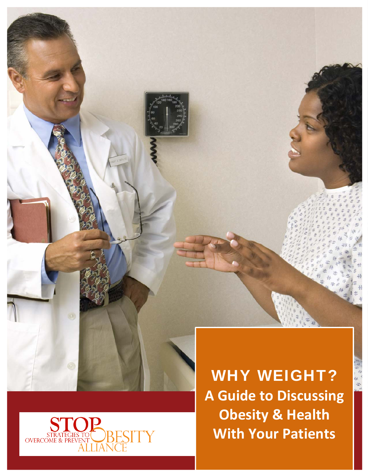



WHY WEIGHT? **A Guide to Discussing Obesity & Health With Your Patients**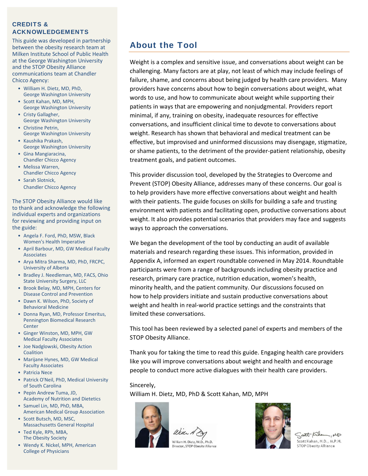### CREDITS & ACKNOWLEDGEMENTS

This guide was developed in partnership between the obesity research team at Milken Institute School of Public Health at the George Washington University and the STOP Obesity Alliance communications team at Chandler Chicco Agency:

- William H. Dietz, MD, PhD, George Washington University
- Scott Kahan, MD, MPH, George Washington University
- Cristy Gallagher, George Washington University
- Christine Petrin, George Washington University
- Kaushika Prakash, George Washington University
- Gina Mangiaracina, Chandler Chicco Agency • Melissa Warren,
- Chandler Chicco Agency • Sarah Slotnick,
- Chandler Chicco Agency

The STOP Obesity Alliance would like to thank and acknowledge the following individual experts and organizations for reviewing and providing input on the guide:

- Angela F. Ford, PhD, MSW, Black Women's Health Imperative
- April Barbour, MD, GW Medical Faculty Associates
- Arya Mitra Sharma, MD, PhD, FRCPC, University of Alberta
- Bradley J. Needleman, MD, FACS, Ohio State University Surgery, LLC
- Brook Belay, MD, MPH, Centers for Disease Control and Prevention
- Dawn K. Wilson, PhD, Society of Behavioral Medicine
- Donna Ryan, MD, Professor Emeritus, Pennington Biomedical Research **Center**
- Ginger Winston, MD, MPH, GW Medical Faculty Associates
- Joe Nadglowski, Obesity Action Coalition
- Marijane Hynes, MD, GW Medical Faculty Associates
- Patricia Nece
- Patrick O'Neil, PhD, Medical University of South Carolina
- Pepin Andrew Tuma, JD, Academy of Nutrition and Dietetics
- Samuel Lin, MD, PhD, MBA, American Medical Group Association
- Scott Butsch, MD, MSC, Massachusetts General Hospital • Ted Kyle, RPh, MBA,
- The Obesity Society
- Wendy K. Nickel, MPH, American College of Physicians

## About the Tool

Weight is a complex and sensitive issue, and conversations about weight can be challenging. Many factors are at play, not least of which may include feelings of failure, shame, and concerns about being judged by health care providers. Many providers have concerns about how to begin conversations about weight, what words to use, and how to communicate about weight while supporting their patients in ways that are empowering and nonjudgmental. Providers report minimal, if any, training on obesity, inadequate resources for effective conversations, and insufficient clinical time to devote to conversations about weight. Research has shown that behavioral and medical treatment can be effective, but improvised and uninformed discussions may disengage, stigmatize, or shame patients, to the detriment of the provider‐patient relationship, obesity treatment goals, and patient outcomes.

This provider discussion tool, developed by the Strategies to Overcome and Prevent (STOP) Obesity Alliance, addresses many of these concerns. Our goal is to help providers have more effective conversations about weight and health with their patients. The guide focuses on skills for building a safe and trusting environment with patients and facilitating open, productive conversations about weight. It also provides potential scenarios that providers may face and suggests ways to approach the conversations.

We began the development of the tool by conducting an audit of available materials and research regarding these issues. This information, provided in Appendix A, informed an expert roundtable convened in May 2014. Roundtable participants were from a range of backgrounds including obesity practice and research, primary care practice, nutrition education, women's health, minority health, and the patient community. Our discussions focused on how to help providers initiate and sustain productive conversations about weight and health in real-world practice settings and the constraints that limited these conversations.

This tool has been reviewed by a selected panel of experts and members of the STOP Obesity Alliance.

Thank you for taking the time to read this guide. Engaging health care providers like you will improve conversations about weight and health and encourage people to conduct more active dialogues with their health care providers.

#### Sincerely,

William H. Dietz, MD, PhD & Scott Kahan, MD, MPH

William H. Dietz, M.D., Ph.D. Director, STOP Obesity Alliance



Satt Kike  $-\mu$ Scott Kahan, M.D., M.P.H. **STOP Obesity Alliance**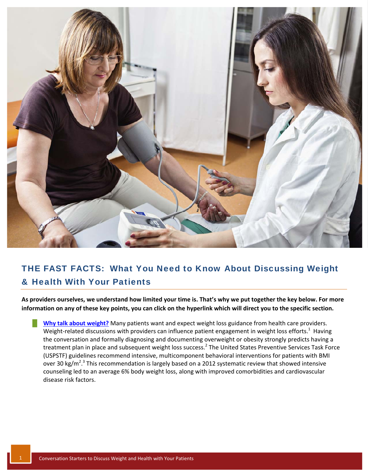

# THE FAST FACTS: What You Need to Know About Discussing Weight & Health With Your Patients

As providers ourselves, we understand how limited your time is. That's why we put together the key below. For more information on any of these key points, you can click on the hyperlink which will direct you to the specific section.

**EXECUTE: Why talk about [weight?](#page-4-0)** Many patients want and expect weight loss guidance from health care providers. Weight-related discussions with providers can influence patient engagement in weight loss efforts.<sup>1</sup> Having the conversation and formally diagnosing and documenting overweight or obesity strongly predicts having a treatment plan in place and subsequent weight loss success.<sup>2</sup> The United States Preventive Services Task Force (USPSTF) guidelines recommend intensive, multicomponent behavioral interventions for patients with BMI over 30 kg/m<sup>2,3</sup> This recommendation is largely based on a 2012 systematic review that showed intensive counseling led to an average 6% body weight loss, along with improved comorbidities and cardiovascular disease risk factors.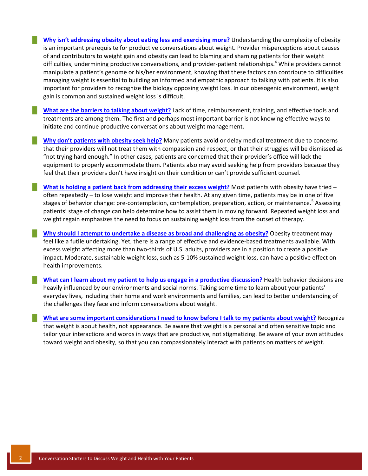█ **Why isn't [addressing](#page-4-0) obesity about eating less and exercising more?** Understanding the complexity of obesity is an important prerequisite for productive conversations about weight. Provider misperceptions about causes of and contributors to weight gain and obesity can lead to blaming and shaming patients for their weight difficulties, undermining productive conversations, and provider-patient relationships.<sup>4</sup> While providers cannot manipulate a patient's genome or his/her environment, knowing that these factors can contribute to difficulties managing weight is essential to building an informed and empathic approach to talking with patients. It is also important for providers to recognize the biology opposing weight loss. In our obesogenic environment, weight gain is common and sustained weight loss is difficult.

█ **What are the barriers to talking about [weight?](#page-5-0)** Lack of time, reimbursement, training, and effective tools and treatments are among them. The first and perhaps most important barrier is not knowing effective ways to initiate and continue productive conversations about weight management.

█ **Why don't [patients](#page-7-0) with obesity seek help?** Many patients avoid or delay medical treatment due to concerns that their providers will not treat them with compassion and respect, or that their struggles will be dismissed as "not trying hard enough." In other cases, patients are concerned that their provider's office will lack the equipment to properly accommodate them. Patients also may avoid seeking help from providers because they feel that their providers don't have insight on their condition or can't provide sufficient counsel.

█ **What is holding a patient back from [addressing](#page-5-0) their excess weight?** Most patients with obesity have tried – often repeatedly – to lose weight and improve their health. At any given time, patients may be in one of five stages of behavior change: pre-contemplation, contemplation, preparation, action, or maintenance.<sup>5</sup> Assessing patients' stage of change can help determine how to assist them in moving forward. Repeated weight loss and weight regain emphasizes the need to focus on sustaining weight loss from the outset of therapy.

█ **Why should I attempt to undertake a disease as broad and [challenging](#page-4-0) as obesity?** Obesity treatment may feel like a futile undertaking. Yet, there is a range of effective and evidence-based treatments available. With excess weight affecting more than two-thirds of U.S. adults, providers are in a position to create a positive impact. Moderate, sustainable weight loss, such as 5‐10% sustained weight loss, can have a positive effect on health improvements.

█ **What can I learn about my patient to help us engage in a productive [discussion?](#page-11-0)** Health behavior decisions are heavily influenced by our environments and social norms. Taking some time to learn about your patients' everyday lives, including their home and work environments and families, can lead to better understanding of the challenges they face and inform conversations about weight.

What are some important [considerations](#page-14-0) I need to know before I talk to my patients about weight? Recognize that weight is about health, not appearance. Be aware that weight is a personal and often sensitive topic and tailor your interactions and words in ways that are productive, not stigmatizing. Be aware of your own attitudes toward weight and obesity, so that you can compassionately interact with patients on matters of weight.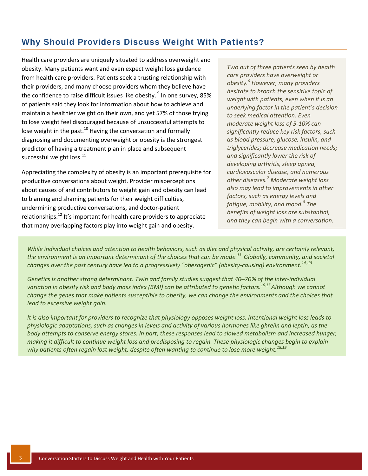## <span id="page-4-0"></span>Why Should Providers Discuss Weight With Patients?

Health care providers are uniquely situated to address overweight and obesity. Many patients want and even expect weight loss guidance from health care providers. Patients seek a trusting relationship with their providers, and many choose providers whom they believe have the confidence to raise difficult issues like obesity.  $9 \text{ ln}$  one survey, 85% of patients said they look for information about how to achieve and maintain a healthier weight on their own, and yet 57% of those trying to lose weight feel discouraged because of unsuccessful attempts to lose weight in the past. $10$  Having the conversation and formally diagnosing and documenting overweight or obesity is the strongest predictor of having a treatment plan in place and subsequent successful weight  $loss.<sup>11</sup>$ 

Appreciating the complexity of obesity is an important prerequisite for productive conversations about weight. Provider misperceptions about causes of and contributors to weight gain and obesity can lead to blaming and shaming patients for their weight difficulties, undermining productive conversations, and doctor‐patient relationships. $^{12}$  It's important for health care providers to appreciate that many overlapping factors play into weight gain and obesity.

*Two out of three patients seen by health care providers have overweight or obesity.<sup>6</sup> However, many providers hesitate to broach the sensitive topic of weight with patients, even when it is an underlying factor in the patient's decision to seek medical attention. Even moderate weight loss of 5‐10% can significantly reduce key risk factors, such as blood pressure, glucose, insulin, and triglycerides; decrease medication needs; and significantly lower the risk of developing arthritis, sleep apnea, cardiovascular disease, and numerous other diseases.<sup>7</sup> Moderate weight loss also may lead to improvements in other factors, such as energy levels and fatigue, mobility, and mood.<sup>8</sup> The benefits of weight loss are substantial, and they can begin with a conversation.*

While individual choices and attention to health behaviors, such as diet and physical activity, are certainly relevant, the environment is an important determinant of the choices that can be made.<sup>13</sup> Globally, community, and societal changes over the past century have led to a progressively "obesogenic" (obesity-causing) environment.<sup>14,15</sup>

Genetics is another strong determinant. Twin and family studies suggest that 40-70% of the inter-individual variation in obesity risk and body mass index (BMI) can be attributed to genetic factors.<sup>16,17</sup> Although we cannot change the genes that make patients susceptible to obesity, we can change the environments and the choices that *lead to excessive weight gain.*

It is also important for providers to recognize that physiology opposes weight loss. Intentional weight loss leads to physiologic adaptations, such as changes in levels and activity of various hormones like ghrelin and leptin, as the body attempts to conserve energy stores. In part, these responses lead to slowed metabolism and increased hunger, making it difficult to continue weight loss and predisposing to regain. These physiologic changes begin to explain *why patients often regain lost weight, despite often wanting to continue to lose more weight.18,19*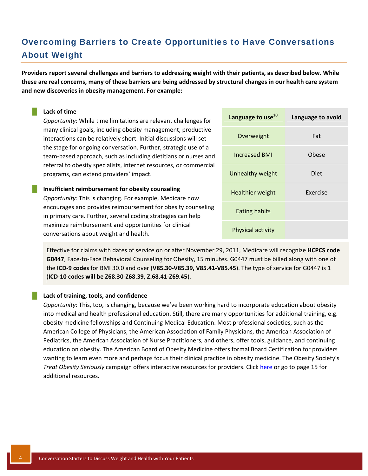# <span id="page-5-0"></span>Overcoming Barriers to Create Opportunities to Have Conversations About Weight

Providers report several challenges and barriers to addressing weight with their patients, as described below. While these are real concerns, many of these barriers are being addressed by structural changes in our health care system **and new discoveries in obesity management. For example:** 

#### █ **Lack of time**

*Opportunity:* While time limitations are relevant challenges for many clinical goals, including obesity management, productive interactions can be relatively short. Initial discussions will set the stage for ongoing conversation. Further, strategic use of a team‐based approach, such as including dietitians or nurses and referral to obesity specialists, internet resources, or commercial programs, can extend providers' impact.

#### █ **Insufficient reimbursement for obesity counseling**

*Opportunity:* This is changing. For example, Medicare now encourages and provides reimbursement for obesity counseling in primary care. Further, several coding strategies can help maximize reimbursement and opportunities for clinical conversations about weight and health.

| Language to use <sup>20</sup> | Language to avoid |
|-------------------------------|-------------------|
| Overweight                    | Fat               |
| <b>Increased BMI</b>          | Obese             |
| Unhealthy weight              | Diet              |
| <b>Healthier weight</b>       | <b>Fxercise</b>   |
| <b>Eating habits</b>          |                   |
| Physical activity             |                   |

Effective for claims with dates of service on or after November 29, 2011, Medicare will recognize **HCPCS code G0447**, Face‐to‐Face Behavioral Counseling for Obesity, 15 minutes. G0447 must be billed along with one of the **ICD‐9 codes** for BMI 30.0 and over (**V85.30‐V85.39, V85.41‐V85.45**). The type of service for G0447 is 1 (**ICD‐10 codes will be Z68.30‐Z68.39, Z.68.41‐Z69.45**).

#### █ **Lack of training, tools, and confidence**

*Opportunity:* This, too, is changing, because we've been working hard to incorporate education about obesity into medical and health professional education. Still, there are many opportunities for additional training, e.g. obesity medicine fellowships and Continuing Medical Education. Most professional societies, such as the American College of Physicians, the American Association of Family Physicians, the American Association of Pediatrics, the American Association of Nurse Practitioners, and others, offer tools, guidance, and continuing education on obesity. The American Board of Obesity Medicine offers formal Board Certification for providers wanting to learn even more and perhaps focus their clinical practice in obesity medicine. The Obesity Society's *Treat Obesity Seriously* campaign offers interactive resources for providers. Click [here](#page-16-0) or go to page 15 for additional resources.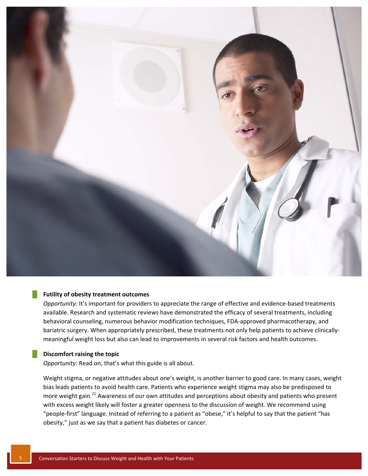

#### █ **Futility of obesity treatment outcomes**

*Opportunity:* It's important for providers to appreciate the range of effective and evidence-based treatments available. Research and systematic reviews have demonstrated the efficacy of several treatments, including behavioral counseling, numerous behavior modification techniques, FDA-approved pharmacotherapy, and bariatric surgery. When appropriately prescribed, these treatments not only help patients to achieve clinically‐ meaningful weight loss but also can lead to improvements in several risk factors and health outcomes.

### █ **Discomfort raising the topic**

*Opportunity:* Read on, that's what this guide is all about.

Weight stigma, or negative attitudes about one's weight, is another barrier to good care. In many cases, weight bias leads patients to avoid health care. Patients who experience weight stigma may also be predisposed to more weight gain.<sup>21</sup> Awareness of our own attitudes and perceptions about obesity and patients who present with excess weight likely will foster a greater openness to the discussion of weight. We recommend using "people‐first" language. Instead of referring to a patient as "obese," it's helpful to say that the patient "has obesity," just as we say that a patient has diabetes or cancer.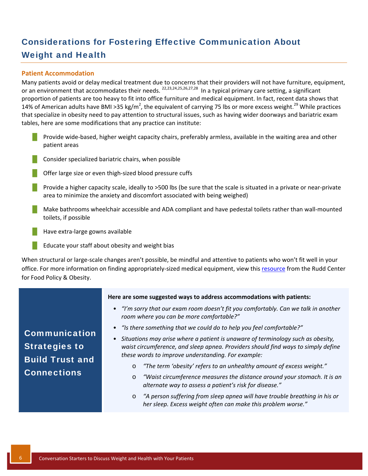# <span id="page-7-0"></span>Considerations for Fostering Effective Communication About Weight and Health

### **Patient Accommodation**

Many patients avoid or delay medical treatment due to concerns that their providers will not have furniture, equipment, or an environment that accommodates their needs. <sup>22,23,24,25,26,27,28</sup> In a typical primary care setting, a significant proportion of patients are too heavy to fit into office furniture and medical equipment. In fact, recent data shows that 14% of American adults have BMI >35 kg/m<sup>2</sup>, the equivalent of carrying 75 lbs or more excess weight.<sup>29</sup> While practices that specialize in obesity need to pay attention to structural issues, such as having wider doorways and bariatric exam tables, here are some modifications that any practice can institute:

- █ Provide wide‐based, higher weight capacity chairs, preferably armless, available in the waiting area and other patient areas
- $\blacksquare$  Consider specialized bariatric chairs, when possible
- Offer large size or even thigh-sized blood pressure cuffs
- █ Provide a higher capacity scale, ideally to >500 lbs (be sure that the scale is situated in a private or near‐private area to minimize the anxiety and discomfort associated with being weighed)
- Make bathrooms wheelchair accessible and ADA compliant and have pedestal toilets rather than wall-mounted toilets, if possible
- Have extra-large gowns available
- Educate your staff about obesity and weight bias

When structural or large‐scale changes aren't possible, be mindful and attentive to patients who won't fit well in your office. For more information on finding appropriately-sized medical equipment, view this [resource](http://www.uconnruddcenter.org/resources/bias_toolkit/toolkit/Module-5/5-08-FindingAppropriate.pdf) from the Rudd Center for Food Policy & Obesity.

|                                                                                              | Here are some suggested ways to address accommodations with patients:                                                                                                                                                                                                                                                                                                                            |
|----------------------------------------------------------------------------------------------|--------------------------------------------------------------------------------------------------------------------------------------------------------------------------------------------------------------------------------------------------------------------------------------------------------------------------------------------------------------------------------------------------|
| <b>Communication</b><br><b>Strategies to</b><br><b>Build Trust and</b><br><b>Connections</b> | • "I'm sorry that our exam room doesn't fit you comfortably. Can we talk in another<br>room where you can be more comfortable?"                                                                                                                                                                                                                                                                  |
|                                                                                              | • "Is there something that we could do to help you feel comfortable?"                                                                                                                                                                                                                                                                                                                            |
|                                                                                              | • Situations may arise where a patient is unaware of terminology such as obesity,<br>waist circumference, and sleep apnea. Providers should find ways to simply define<br>these words to improve understanding. For example:<br>"The term 'obesity' refers to an unhealthy amount of excess weight."<br>O<br>"Waist circumference measures the distance around your stomach. It is an<br>$\circ$ |
|                                                                                              | alternate way to assess a patient's risk for disease."<br>"A person suffering from sleep apnea will have trouble breathing in his or<br>$\circ$<br>her sleep. Excess weight often can make this problem worse."                                                                                                                                                                                  |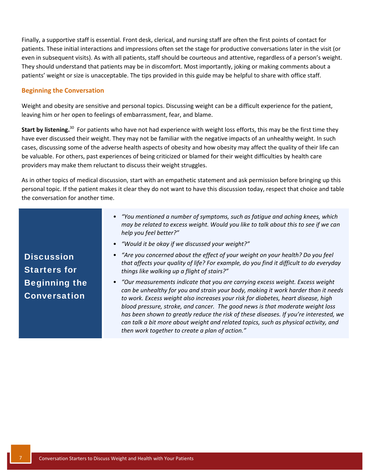Finally, a supportive staff is essential. Front desk, clerical, and nursing staff are often the first points of contact for patients. These initial interactions and impressions often set the stage for productive conversations later in the visit (or even in subsequent visits). As with all patients, staff should be courteous and attentive, regardless of a person's weight. They should understand that patients may be in discomfort. Most importantly, joking or making comments about a patients' weight or size is unacceptable. The tips provided in this guide may be helpful to share with office staff.

#### **Beginning the Conversation**

Weight and obesity are sensitive and personal topics. Discussing weight can be a difficult experience for the patient, leaving him or her open to feelings of embarrassment, fear, and blame.

**Start by listening.**<sup>30</sup> For patients who have not had experience with weight loss efforts, this may be the first time they have ever discussed their weight. They may not be familiar with the negative impacts of an unhealthy weight. In such cases, discussing some of the adverse health aspects of obesity and how obesity may affect the quality of their life can be valuable. For others, past experiences of being criticized or blamed for their weight difficulties by health care providers may make them reluctant to discuss their weight struggles.

As in other topics of medical discussion, start with an empathetic statement and ask permission before bringing up this personal topic. If the patient makes it clear they do not want to have this discussion today, respect that choice and table the conversation for another time.

|                                             | • "You mentioned a number of symptoms, such as fatique and aching knees, which<br>may be related to excess weight. Would you like to talk about this to see if we can<br>help you feel better?"                                                                                                                                                                                                                                                                                                                                                                                                                                |
|---------------------------------------------|--------------------------------------------------------------------------------------------------------------------------------------------------------------------------------------------------------------------------------------------------------------------------------------------------------------------------------------------------------------------------------------------------------------------------------------------------------------------------------------------------------------------------------------------------------------------------------------------------------------------------------|
|                                             | • "Would it be okay if we discussed your weight?"                                                                                                                                                                                                                                                                                                                                                                                                                                                                                                                                                                              |
| <b>Discussion</b><br><b>Starters for</b>    | • "Are you concerned about the effect of your weight on your health? Do you feel<br>that affects your quality of life? For example, do you find it difficult to do everyday                                                                                                                                                                                                                                                                                                                                                                                                                                                    |
| <b>Beginning the</b><br><b>Conversation</b> | things like walking up a flight of stairs?"<br>• "Our measurements indicate that you are carrying excess weight. Excess weight<br>can be unhealthy for you and strain your body, making it work harder than it needs<br>to work. Excess weight also increases your risk for diabetes, heart disease, high<br>blood pressure, stroke, and cancer. The good news is that moderate weight loss<br>has been shown to greatly reduce the risk of these diseases. If you're interested, we<br>can talk a bit more about weight and related topics, such as physical activity, and<br>then work together to create a plan of action." |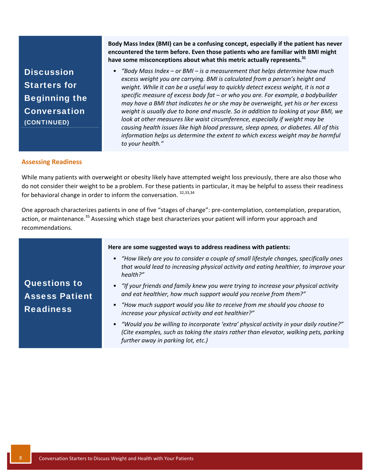**Discussion** Starters for Beginning the Conversation (CONTINUED)

**Body Mass Index (BMI) can be a confusing concept, especially if the patient has never encountered the term before. Even those patients who are familiar with BMI might have some misconceptions about what this metric actually represents.<sup>31</sup>**

• *"Body Mass Index – or BMI – is a measurement that helps determine how much excess weight you are carrying. BMI is calculated from a person's height and weight. While it can be a useful way to quickly detect excess weight, it is not a specific measure of excess body fat – or who you are. For example, a bodybuilder may have a BMI that indicates he or she may be overweight, yet his or her excess weight is usually due to bone and muscle. So in addition to looking at your BMI, we look at other measures like waist circumference, especially if weight may be causing health issues like high blood pressure, sleep apnea, or diabetes. All of this information helps us determine the extent to which excess weight may be harmful to your health."*

#### **Assessing Readiness**

While many patients with overweight or obesity likely have attempted weight loss previously, there are also those who do not consider their weight to be a problem. For these patients in particular, it may be helpful to assess their readiness for behavioral change in order to inform the conversation.  $32,33,34$ 

One approach characterizes patients in one of five "stages of change": pre‐contemplation, contemplation, preparation, action, or maintenance.<sup>35</sup> Assessing which stage best characterizes your patient will inform your approach and recommendations.

Questions to Assess Patient **Readiness Here are some suggested ways to address readiness with patients:** • *"How likely are you to consider a couple of small lifestyle changes, specifically ones that would lead to increasing physical activity and eating healthier, to improve your health?"*  • *"If your friends and family knew you were trying to increase your physical activity and eat healthier, how much support would you receive from them?"* • *"How much support would you like to receive from me should you choose to increase your physical activity and eat healthier?"* • *"Would you be willing to incorporate 'extra' physical activity in your daily routine?" (Cite examples, such as taking the stairs rather than elevator, walking pets, parking*

*further away in parking lot, etc.)*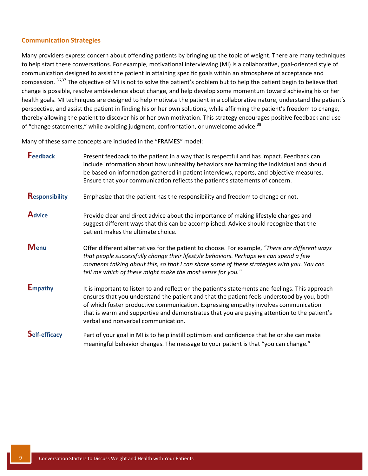### **Communication Strategies**

Many providers express concern about offending patients by bringing up the topic of weight. There are many techniques to help start these conversations. For example, motivational interviewing (MI) is a collaborative, goal‐oriented style of communication designed to assist the patient in attaining specific goals within an atmosphere of acceptance and compassion. <sup>36,37</sup> The objective of MI is not to solve the patient's problem but to help the patient begin to believe that change is possible, resolve ambivalence about change, and help develop some momentum toward achieving his or her health goals. MI techniques are designed to help motivate the patient in a collaborative nature, understand the patient's perspective, and assist the patient in finding his or her own solutions, while affirming the patient's freedom to change, thereby allowing the patient to discover his or her own motivation. This strategy encourages positive feedback and use of "change statements," while avoiding judgment, confrontation, or unwelcome advice.<sup>38</sup>

Many of these same concepts are included in the "FRAMES" model:

| Feedback              | Present feedback to the patient in a way that is respectful and has impact. Feedback can<br>include information about how unhealthy behaviors are harming the individual and should<br>be based on information gathered in patient interviews, reports, and objective measures.<br>Ensure that your communication reflects the patient's statements of concern.                                                             |
|-----------------------|-----------------------------------------------------------------------------------------------------------------------------------------------------------------------------------------------------------------------------------------------------------------------------------------------------------------------------------------------------------------------------------------------------------------------------|
| <b>Responsibility</b> | Emphasize that the patient has the responsibility and freedom to change or not.                                                                                                                                                                                                                                                                                                                                             |
| <b>Advice</b>         | Provide clear and direct advice about the importance of making lifestyle changes and<br>suggest different ways that this can be accomplished. Advice should recognize that the<br>patient makes the ultimate choice.                                                                                                                                                                                                        |
| <b>Menu</b>           | Offer different alternatives for the patient to choose. For example, "There are different ways<br>that people successfully change their lifestyle behaviors. Perhaps we can spend a few<br>moments talking about this, so that I can share some of these strategies with you. You can<br>tell me which of these might make the most sense for you."                                                                         |
| <b>Empathy</b>        | It is important to listen to and reflect on the patient's statements and feelings. This approach<br>ensures that you understand the patient and that the patient feels understood by you, both<br>of which foster productive communication. Expressing empathy involves communication<br>that is warm and supportive and demonstrates that you are paying attention to the patient's<br>verbal and nonverbal communication. |
| <b>Self-efficacy</b>  | Part of your goal in MI is to help instill optimism and confidence that he or she can make<br>meaningful behavior changes. The message to your patient is that "you can change."                                                                                                                                                                                                                                            |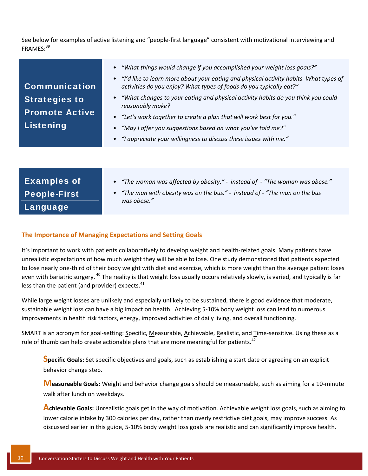<span id="page-11-0"></span>See below for examples of active listening and "people‐first language" consistent with motivational interviewing and FRAMES: 39

| <b>Examples of</b>  | • "The woman was affected by obesity." - instead of - "The woman was obese."                |
|---------------------|---------------------------------------------------------------------------------------------|
| <b>People-First</b> | • "The man with obesity was on the bus." - instead of - "The man on the bus"<br>was obese." |
| Language            |                                                                                             |

#### **The Importance of Managing Expectations and Setting Goals**

It's important to work with patients collaboratively to develop weight and health-related goals. Many patients have unrealistic expectations of how much weight they will be able to lose. One study demonstrated that patients expected to lose nearly one-third of their body weight with diet and exercise, which is more weight than the average patient loses even with bariatric surgery.<sup>40</sup> The reality is that weight loss usually occurs relatively slowly, is varied, and typically is far less than the patient (and provider) expects. $41$ 

While large weight losses are unlikely and especially unlikely to be sustained, there is good evidence that moderate, sustainable weight loss can have a big impact on health. Achieving 5‐10% body weight loss can lead to numerous improvements in health risk factors, energy, improved activities of daily living, and overall functioning.

SMART is an acronym for goal-setting: Specific, Measurable, Achievable, Realistic, and Time-sensitive. Using these as a rule of thumb can help create actionable plans that are more meaningful for patients.<sup>42</sup>

**Specific Goals:** Set specific objectives and goals, such as establishing <sup>a</sup> start date or agreeing on an explicit behavior change step.

**Measureable Goals:** Weight and behavior change goals should be measureable, such as aiming for <sup>a</sup> <sup>10</sup>‐minute walk after lunch on weekdays.

**Achievable Goals:** Unrealistic goals get in the way of motivation. Achievable weight loss goals, such as aiming to lower calorie intake by 300 calories per day, rather than overly restrictive diet goals, may improve success. As discussed earlier in this guide, 5‐10% body weight loss goals are realistic and can significantly improve health.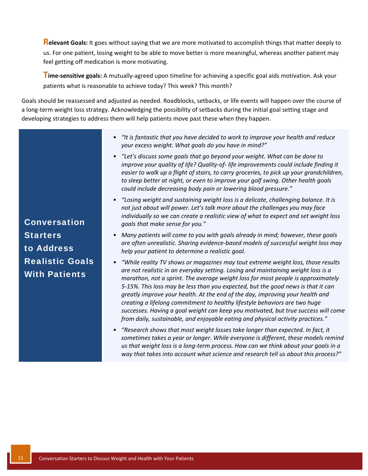**Relevant Goals:** It goes without saying that we are more motivated to accomplish things that matter deeply to us. For one patient, losing weight to be able to move better is more meaningful, whereas another patient may feel getting off medication is more motivating.

**Time‐sensitive goals:** <sup>A</sup> mutually‐agreed upon timeline for achieving <sup>a</sup> specific goal aids motivation. Ask your patients what is reasonable to achieve today? This week? This month?

Goals should be reassessed and adjusted as needed. Roadblocks, setbacks, or life events will happen over the course of a long‐term weight loss strategy. Acknowledging the possibility of setbacks during the initial goal setting stage and developing strategies to address them will help patients move past these when they happen.

- *"It is fantastic that you have decided to work to improve your health and reduce your excess weight. What goals do you have in mind?"*
- *"Let's discuss some goals that go beyond your weight. What can be done to improve your quality of life? Quality‐of‐ life improvements could include finding it easier to walk up a flight of stairs, to carry groceries, to pick up your grandchildren, to sleep better at night, or even to improve your golf swing. Other health goals could include decreasing body pain or lowering blood pressure."*
- *"Losing weight and sustaining weight loss is a delicate, challenging balance. It is not just about will power. Let's talk more about the challenges you may face individually so we can create a realistic view of what to expect and set weight loss goals that make sense for you."*
- *Many patients will come to you with goals already in mind; however, these goals are often unrealistic. Sharing evidence‐based models of successful weight loss may help your patient to determine a realistic goal.*
- *"While reality TV shows or magazines may tout extreme weight loss, those results are not realistic in an everyday setting. Losing and maintaining weight loss is a marathon, not a sprint. The average weight loss for most people is approximately 5‐15%. This loss may be less than you expected, but the good news is that it can greatly improve your health. At the end of the day, improving your health and creating a lifelong commitment to healthy lifestyle behaviors are two huge successes. Having a goal weight can keep you motivated, but true success will come from daily, sustainable, and enjoyable eating and physical activity practices."*
- *"Research shows that most weight losses take longer than expected. In fact, it sometimes takes a year or longer. While everyone is different, these models remind us that weight loss is a long‐term process. How can we think about your goals in a way that takes into account what science and research tell us about this process?"*

Conversation **Starters** to Address Realistic Goals With Patients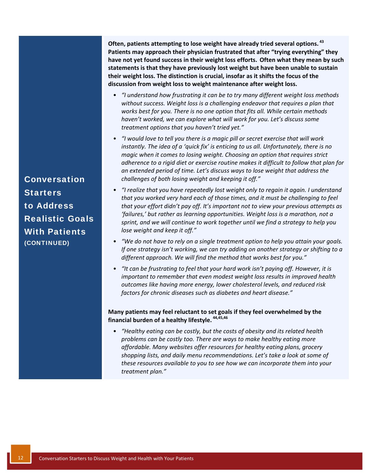**Often, patients attempting to lose weight have already tried several options. <sup>43</sup> Patients may approach their physician frustrated that after "trying everything" they have not yet found success in their weight loss efforts. Often what they mean by such statements is that they have previously lost weight but have been unable to sustain their weight loss. The distinction is crucial, insofar as it shifts the focus of the discussion from weight loss to weight maintenance after weight loss.**

- *"I understand how frustrating it can be to try many different weight loss methods without success. Weight loss is a challenging endeavor that requires a plan that works best for you. There is no one option that fits all. While certain methods haven't worked, we can explore what will work for you. Let's discuss some treatment options that you haven't tried yet."*
- *"I would love to tell you there is a magic pill or secret exercise that will work instantly. The idea of a 'quick fix' is enticing to us all. Unfortunately, there is no magic when it comes to losing weight. Choosing an option that requires strict adherence to a rigid diet or exercise routine makes it difficult to follow that plan for an extended period of time. Let's discuss ways to lose weight that address the challenges of both losing weight and keeping it off."*
- *"I realize that you have repeatedly lost weight only to regain it again. I understand that you worked very hard each of those times, and it must be challenging to feel that your effort didn't pay off. It's important not to view your previous attempts as 'failures,' but rather as learning opportunities. Weight loss is a marathon, not a sprint, and we will continue to work together until we find a strategy to help you lose weight and keep it off."*
- *"We do not have to rely on a single treatment option to help you attain your goals. If one strategy isn't working, we can try adding on another strategy or shifting to a different approach. We will find the method that works best for you."*
- *"It can be frustrating to feel that your hard work isn't paying off. However, it is important to remember that even modest weight loss results in improved health outcomes like having more energy, lower cholesterol levels, and reduced risk factors for chronic diseases such as diabetes and heart disease."*

#### **Many patients may feel reluctant to set goals if they feel overwhelmed by the financial burden of a healthy lifestyle. 44,45,46**

• *"Healthy eating can be costly, but the costs of obesity and its related health problems can be costly too. There are ways to make healthy eating more affordable. Many websites offer resources for healthy eating plans, grocery shopping lists, and daily menu recommendations. Let's take a look at some of these resources available to you to see how we can incorporate them into your treatment plan."*

Conversation **Starters** to Address Realistic Goals With Patients (CONTINUED)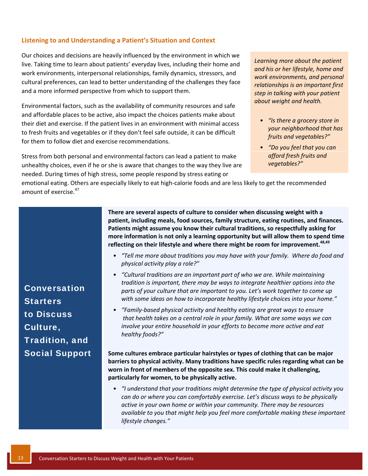#### <span id="page-14-0"></span>**Listening to and Understanding a Patient's Situation and Context**

Our choices and decisions are heavily influenced by the environment in which we live. Taking time to learn about patients' everyday lives, including their home and work environments, interpersonal relationships, family dynamics, stressors, and cultural preferences, can lead to better understanding of the challenges they face and a more informed perspective from which to support them.

Environmental factors, such as the availability of community resources and safe and affordable places to be active, also impact the choices patients make about their diet and exercise. If the patient lives in an environment with minimal access to fresh fruits and vegetables or if they don't feel safe outside, it can be difficult for them to follow diet and exercise recommendations.

Stress from both personal and environmental factors can lead a patient to make unhealthy choices, even if he or she is aware that changes to the way they live are needed. During times of high stress, some people respond by stress eating or

*Learning more about the patient and his or her lifestyle, home and work environments, and personal relationships is an important first step in talking with your patient about weight and health.*

- *"Is there a grocery store in your neighborhood that has fruits and vegetables?"*
- *"Do you feel that you can afford fresh fruits and vegetables?"*

emotional eating. Others are especially likely to eat high-calorie foods and are less likely to get the recommended amount of exercise. $47$ 

> **There are several aspects of culture to consider when discussing weight with a patient, including meals, food sources, family structure, eating routines, and finances. Patients might assume you know their cultural traditions, so respectfully asking for more information is not only a learning opportunity but will allow them to spend time reflecting on their lifestyle and where there might be room for improvement.48,49**

- *"Tell me more about traditions you may have with your family. Where do food and physical activity play a role?"*
- *"Cultural traditions are an important part of who we are. While maintaining tradition is important, there may be ways to integrate healthier options into the parts of your culture that are important to you. Let's work together to come up with some ideas on how to incorporate healthy lifestyle choices into your home."*
- *"Family‐based physical activity and healthy eating are great ways to ensure that health takes on a central role in your family. What are some ways we can involve your entire household in your efforts to become more active and eat healthy foods?"*

**Some cultures embrace particular hairstyles or types of clothing that can be major barriers to physical activity. Many traditions have specific rules regarding what can be worn in front of members of the opposite sex. This could make it challenging, particularly for women, to be physically active.**

• *"I understand that your traditions might determine the type of physical activity you can do or where you can comfortably exercise. Let's discuss ways to be physically active in your own home or within your community. There may be resources available to you that might help you feel more comfortable making these important lifestyle changes."*

Conversation **Starters** to Discuss Culture, Tradition, and Social Support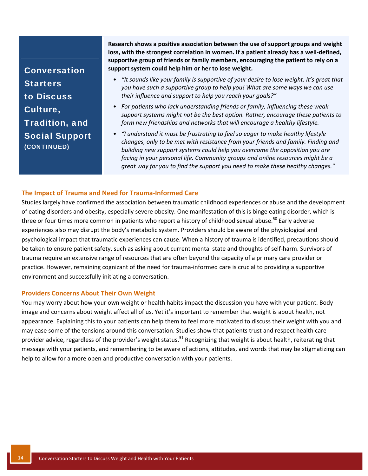Conversation **Starters** to Discuss Culture, Tradition, and Social Support (CONTINUED)

**Research shows a positive association between the use of support groups and weight loss, with the strongest correlation in women. If a patient already has a well‐defined, supportive group of friends or family members, encouraging the patient to rely on a support system could help him or her to lose weight.** 

- *"It sounds like your family is supportive of your desire to lose weight. It's great that you have such a supportive group to help you! What are some ways we can use their influence and support to help you reach your goals?"*
- *For patients who lack understanding friends or family, influencing these weak support systems might not be the best option. Rather, encourage these patients to form new friendships and networks that will encourage a healthy lifestyle.*
- *"I understand it must be frustrating to feel so eager to make healthy lifestyle changes, only to be met with resistance from your friends and family. Finding and building new support systems could help you overcome the opposition you are facing in your personal life. Community groups and online resources might be a great way for you to find the support you need to make these healthy changes."*

#### **The Impact of Trauma and Need for Trauma‐Informed Care**

Studies largely have confirmed the association between traumatic childhood experiences or abuse and the development of eating disorders and obesity, especially severe obesity. One manifestation of this is binge eating disorder, which is three or four times more common in patients who report a history of childhood sexual abuse.<sup>50</sup> Early adverse experiences also may disrupt the body's metabolic system. Providers should be aware of the physiological and psychological impact that traumatic experiences can cause. When a history of trauma is identified, precautions should be taken to ensure patient safety, such as asking about current mental state and thoughts of self‐harm. Survivors of trauma require an extensive range of resources that are often beyond the capacity of a primary care provider or practice. However, remaining cognizant of the need for trauma-informed care is crucial to providing a supportive environment and successfully initiating a conversation.

#### **Providers Concerns About Their Own Weight**

You may worry about how your own weight or health habits impact the discussion you have with your patient. Body image and concerns about weight affect all of us. Yet it's important to remember that weight is about health, not appearance. Explaining this to your patients can help them to feel more motivated to discuss their weight with you and may ease some of the tensions around this conversation. Studies show that patients trust and respect health care provider advice, regardless of the provider's weight status.<sup>51</sup> Recognizing that weight is about health, reiterating that message with your patients, and remembering to be aware of actions, attitudes, and words that may be stigmatizing can help to allow for a more open and productive conversation with your patients.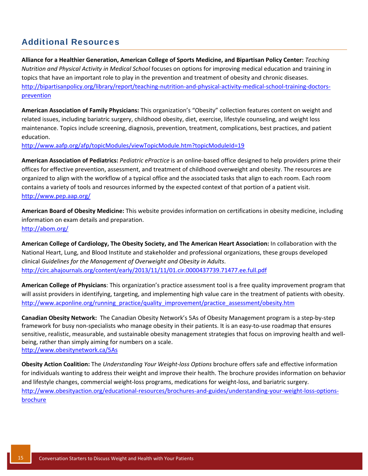## <span id="page-16-0"></span>Additional Resources

**Alliance for a Healthier Generation, American College of Sports Medicine, and Bipartisan Policy Center:** *Teaching Nutrition and Physical Activity in Medical School* focuses on options for improving medical education and training in topics that have an important role to play in the prevention and treatment of obesity and chronic diseases. [http://bipartisanpolicy.org/library/report/teaching](http://greenvillemed.sc.edu/doc/Nutrition-and-Physical-Activity-Initiative.pdf)-nutrition-and-physical-activity-medical-school-training-doctorsprevention

**American Association of Family Physicians:** This organization's "Obesity" collection features content on weight and related issues, including bariatric surgery, childhood obesity, diet, exercise, lifestyle counseling, and weight loss maintenance. Topics include screening, diagnosis, prevention, treatment, complications, best practices, and patient education.

<http://www.aafp.org/afp/topicModules/viewTopicModule.htm?topicModuleId=19>

**American Association of Pediatrics:** *Pediatric ePractice* is an online‐based office designed to help providers prime their offices for effective prevention, assessment, and treatment of childhood overweight and obesity. The resources are organized to align with the workflow of a typical office and the associated tasks that align to each room. Each room contains a variety of tools and resources informed by the expected context of that portion of a patient visit. <http://www.pep.aap.org/>

**American Board of Obesity Medicine:** This website provides information on certifications in obesity medicine, including information on exam details and preparation. <http://abom.org/>

**American College of Cardiology, The Obesity Society, and The American Heart Association:** In collaboration with the National Heart, Lung, and Blood Institute and stakeholder and professional organizations, these groups developed clinical *Guidelines for the Management of Overweight and Obesity in Adults*. <http://circ.ahajournals.org/content/early/2013/11/11/01.cir.0000437739.71477.ee.full.pdf>

**American College of Physicians**: This organization's practice assessment tool is a free quality improvement program that will assist providers in identifying, targeting, and implementing high value care in the treatment of patients with obesity. [http://www.acponline.org/running\\_practice/quality\\_improvement/practice\\_assessment/obesity.htm](http://www.acponline.org/running_practice/quality_improvement/practice_assessment/obesity.htm)

**Canadian Obesity Network:** The Canadian Obesity Network's 5As of Obesity Management program is a step‐by‐step framework for busy non-specialists who manage obesity in their patients. It is an easy-to-use roadmap that ensures sensitive, realistic, measurable, and sustainable obesity management strategies that focus on improving health and wellbeing, rather than simply aiming for numbers on a scale. <http://www.obesitynetwork.ca/5As>

**Obesity Action Coalition:** The *Understanding Your Weight‐loss Options* brochure offers safe and effective information for individuals wanting to address their weight and improve their health. The brochure provides information on behavior and lifestyle changes, commercial weight‐loss programs, medications for weight‐loss, and bariatric surgery. [http://www.obesityaction.org/educational](http://www.obesityaction.org/educational-resources/brochures-and-guides/understanding-your-weight-loss-options-brochure)-resources/brochures-and-guides/understanding-your-weight-loss-optionsbrochure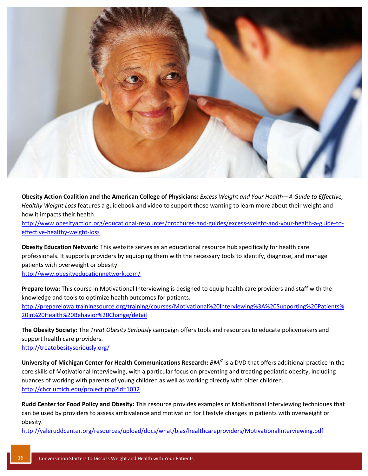

Obesity Action Coalition and the American College of Physicians: Excess Weight and Your Health-A Guide to Effective, *Healthy Weight Loss* features a guidebook and video to support those wanting to learn more about their weight and how it impacts their health.

[http://www.obesityaction.org/educational](http://www.obesityaction.org/educational-resources/brochures-and-guides/excess-weight-and-your-health-a-guide-to-effective-healthy-weight-loss)-resources/brochures-and-guides/excess-weight-and-your-health-a-guide-toeffective‐healthy‐weight‐loss

**Obesity Education Network:** This website serves as an educational resource hub specifically for health care professionals. It supports providers by equipping them with the necessary tools to identify, diagnose, and manage patients with overweight or obesity.

<http://www.obesityeducationnetwork.com/>

**Prepare Iowa:** This course in Motivational Interviewing is designed to equip health care providers and staff with the knowledge and tools to optimize health outcomes for patients. [http://prepareiowa.trainingsource.org/training/courses/Motivational%20Interviewing%3A%20Supporting%20Patients%](http://prepareiowa.training-source.org/training/courses/Motivational%20Interviewing%3A%20Supporting%20Patients%20in%20Health%20Behavior%20Change/detail) 20in%20Health%20Behavior%20Change/detail

**The Obesity Society:** The *Treat Obesity Seriously* campaign offers tools and resources to educate policymakers and support health care providers. <http://treatobesityseriously.org/>

**University of Michigan Center for Health Communications Research:** *BMi<sup>2</sup>* is a DVD that offers additional practice in the core skills of Motivational Interviewing, with a particular focus on preventing and treating pediatric obesity, including nuances of working with parents of young children as well as working directly with older children. <http://chcr.umich.edu/project.php?id=1032>

**Rudd Center for Food Policy and Obesity:** This resource provides examples of Motivational Interviewing techniques that can be used by providers to assess ambivalence and motivation for lifestyle changes in patients with overweight or obesity.

[http://yaleruddcenter.org/resources/upload/docs/what/bias/healthcareproviders/MotivationalInterviewing.pdf](http://www.uconnruddcenter.org/resources/upload/docs/what/bias/healthcareproviders/MotivationalInterviewing.pdf)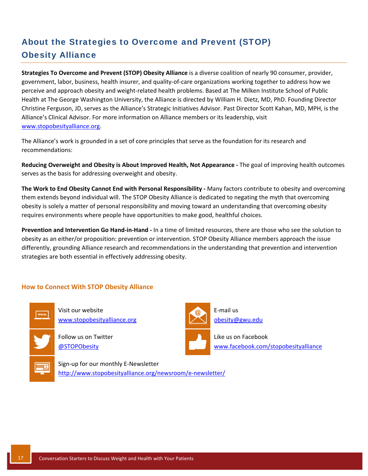# About the Strategies to Overcome and Prevent (STOP) Obesity Alliance

**Strategies To Overcome and Prevent (STOP) Obesity Alliance** is a diverse coalition of nearly 90 consumer, provider, government, labor, business, health insurer, and quality‐of‐care organizations working together to address how we perceive and approach obesity and weight‐related health problems. Based at The Milken Institute School of Public Health at The George Washington University, the Alliance is directed by William H. Dietz, MD, PhD. Founding Director Christine Ferguson, JD, serves as the Alliance's Strategic Initiatives Advisor. Past Director Scott Kahan, MD, MPH, is the Alliance's Clinical Advisor. For more information on Alliance members or its leadership, visit [www.stopobesityalliance.org.](www.stopobesityalliance.org)

The Alliance's work is grounded in a set of core principles that serve as the foundation for its research and recommendations:

**Reducing Overweight and Obesity is About Improved Health, Not Appearance ‐** The goal of improving health outcomes serves as the basis for addressing overweight and obesity.

**The Work to End Obesity Cannot End with Personal Responsibility ‐** Many factors contribute to obesity and overcoming them extends beyond individual will. The STOP Obesity Alliance is dedicated to negating the myth that overcoming obesity is solely a matter of personal responsibility and moving toward an understanding that overcoming obesity requires environments where people have opportunities to make good, healthful choices.

**Prevention and Intervention Go Hand‐in‐Hand ‐** In a time of limited resources, there are those who see the solution to obesity as an either/or proposition: prevention or intervention. STOP Obesity Alliance members approach the issue differently, grounding Alliance research and recommendations in the understanding that prevention and intervention strategies are both essential in effectively addressing obesity.

### **How to Connect With STOP Obesity Alliance**



Visit our website [www.stopobesityalliance.org](http://www.stopobesityalliance.org/)

Follow us on Twitter [@STOPObesity](https://twitter.com/STOPObesity)

Sign‐up for our monthly E‐Newsletter [http://www.stopobesityalliance.org/newsroom/e](http://www.stopobesityalliance.org/newsroom/e-newsletter/)‐newsletter/



E‐mail us obesity@gwu.edu

Like us on Facebook [www.facebook.com/stopobesityalliance](https://www.facebook.com/STOPObesityAlliance)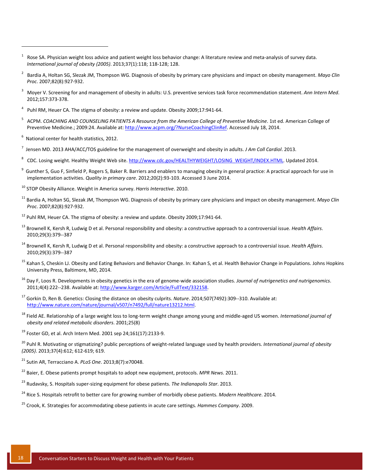- 1 Rose SA. Physician weight loss advice and patient weight loss behavior change: A literature review and meta‐analysis of survey data. *International journal of obesity (2005)*. 2013;37(1):118; 118‐128; 128.
- 2 Bardia A, Holtan SG, Slezak JM, Thompson WG. Diagnosis of obesity by primary care physicians and impact on obesity management. *Mayo Clin Proc*. 2007;82(8):927‐932.
- 3 Moyer V. Screening for and management of obesity in adults: U.S. preventive services task force recommendation statement. *Ann Intern Med*. 2012;157:373‐378.
- $4$  Puhl RM, Heuer CA. The stigma of obesity: a review and update. Obesity 2009;17:941-64.
- 5 ACPM. *COACHING AND COUNSELING PATIENTS A Resource from the American College of Preventive Medicine*. 1st ed. American College of Preventive Medicine.; 2009:24. Available at: [http://www.acpm.org/?NurseCoachingClinRef.](http://www.acpm.org/?NurseCoachingClinRef) Accessed July 18, 2014.
- $<sup>6</sup>$  National center for health statistics, 2012.</sup>

- 7 Jensen MD. 2013 AHA/ACC/TOS guideline for the management of overweight and obesity in adults. *J Am Coll Cardiol*. 2013.
- 8 CDC. Losing weight. Healthy Weight Web site. [http://www.cdc.gov/HEALTHYWEIGHT/LOSING\\_WEIGHT/INDEX.HTML.](http://www.cdc.gov/HEALTHYWEIGHT/LOSING_WEIGHT/INDEX.HTML) Updated 2014.
- <sup>9</sup> Gunther S, Guo F, Sinfield P, Rogers S, Baker R. Barriers and enablers to managing obesity in general practice: A practical approach for use in implementation activities. *Quality in primary care*. 2012;20(2):93‐103. Accessed 3 June 2014.
- <sup>10</sup> STOP Obesity Alliance. Weight in America survey. *Harris Interactive*. 2010.
- <sup>11</sup> Bardia A, Holtan SG, Slezak JM, Thompson WG. Diagnosis of obesity by primary care physicians and impact on obesity management. *Mayo Clin Proc*. 2007;82(8):927‐932.
- $12$  Puhl RM, Heuer CA. The stigma of obesity: a review and update. Obesity 2009;17:941-64.
- <sup>13</sup> Brownell K, Kersh R, Ludwig D et al. Personal responsibility and obesity: a constructive approach to a controversial issue. *Health Affairs*. 2010;29(3):379‐‐387
- <sup>14</sup> Brownell K, Kersh R, Ludwig D et al. Personal responsibility and obesity: a constructive approach to a controversial issue. *Health Affairs*. 2010;29(3):379‐‐387
- <sup>15</sup> Kahan S, Cheskin LJ. Obesity and Eating Behaviors and Behavior Change. In: Kahan S, et al. Health Behavior Change in Populations. Johns Hopkins University Press, Baltimore, MD, 2014.
- <sup>16</sup> Day F, Loos R. Developments in obesity genetics in the era of genome‐wide association studies. *Journal of nutrigenetics and nutrigenomics*. 2011;4(4):222‐‐238. Available at: [http://www.karger.com/Article/FullText/332158.](http://www.karger.com/Article/FullText/332158)
- <sup>17</sup> Gorkin D, Ren B. Genetics: Closing the distance on obesity culprits. *Nature*. 2014;507(7492):309‐‐310. Available at: [http://www.nature.com/nature/journal/v507/n7492/full/nature13212.html.](http://www.nature.com/nature/journal/v507/n7492/full/nature13212.html)
- <sup>18</sup> Field AE. Relationship of a large weight loss to long‐term weight change among young and middle‐aged US women. *International journal of obesity and related metabolic disorders*. 2001;25(8)

 $19$  Foster GD, et al. Arch Intern Med. 2001 sep 24;161(17):2133-9.

<sup>20</sup> Puhl R. Motivating or stigmatizing? public perceptions of weight‐related language used by health providers. *International journal of obesity (2005)*. 2013;37(4):612; 612‐619; 619.

<sup>21</sup> Sutin AR, Terracciano A. *PLoS One*. 2013;8(7):e70048.

- <sup>22</sup> Baier, E. Obese patients prompt hospitals to adopt new equipment, protocols. *MPR News*. 2011.
- <sup>23</sup> Rudavsky, S. Hospitals super‐sizing equipment for obese patients. *The Indianapolis Star*. 2013.
- <sup>24</sup> Rice S. Hospitals retrofit to better care for growing number of morbidly obese patients. *Modern Healthcare*. 2014.
- <sup>25</sup> Crook, K. Strategies for accommodating obese patients in acute care settings. *Hammes Company*. 2009.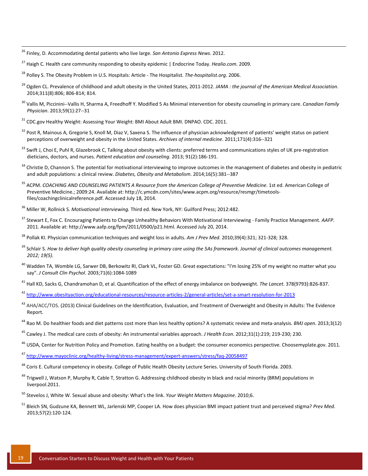<sup>26</sup> Finley, D. Accommodating dental patients who live large. *San Antonio Express News*. 2012.

- <sup>29</sup> Ogden CL. Prevalence of childhood and adult obesity in the United States, 2011‐2012. *JAMA : the journal of the American Medical Association*. 2014;311(8):806; 806‐814; 814.
- <sup>30</sup> Vallis M, Piccinini‐‐Vallis H, Sharma A, Freedhoff Y. Modified 5 As Minimal intervention for obesity counseling in primary care. *Canadian Family Physician*. 2013;59(1):27‐‐31
- <sup>31</sup> CDC.gov Healthy Weight: Assessing Your Weight: BMI About Adult BMI. DNPAO. CDC. 2011.
- <sup>32</sup> Post R, Mainous A, Gregorie S, Knoll M, Diaz V, Saxena S. The influence of physician acknowledgment of patients' weight status on patient perceptions of overweight and obesity in the United States. *Archives of internal medicine*. 2011;171(4):316‐‐321
- 33 Swift J, Choi E, Puhl R, Glazebrook C, Talking about obesity with clients: preferred terms and communications styles of UK pre-registration dieticians, doctors, and nurses. *Patient education and counseling.* 2013; 91(2):186‐191.
- <sup>34</sup> Christie D, Channon S. The potential for motivational interviewing to improve outcomes in the management of diabetes and obesity in pediatric and adult populations: a clinical review. *Diabetes, Obesity and Metabolism*. 2014;16(5):381‐‐387
- <sup>35</sup> ACPM. *COACHING AND COUNSELING PATIENTS A Resource from the American College of Preventive Medicine*. 1st ed. American College of Preventive Medicine.; 2009:24. Available at: http://c.ymcdn.com/sites/www.acpm.org/resource/resmgr/timetools‐ files/coachingclinicalreference.pdf. Accessed July 18, 2014.
- <sup>36</sup> Miller W, Rollnick S. *Motivational interviewing.* Third ed. New York, NY: Guilford Press; 2012:482.
- <sup>37</sup> Stewart E, Fox C. Encouraging Patients to Change Unhealthy Behaviors With Motivational Interviewing ‐ Family Practice Management. *AAFP*. 2011. Available at: http://www.aafp.org/fpm/2011/0500/p21.html. Accessed July 20, 2014.
- <sup>38</sup> Pollak KI. Physician communication techniques and weight loss in adults. *Am J Prev Med*. 2010;39(4):321; 321‐328; 328.
- <sup>39</sup> Schlair S. How to deliver high quality obesity counseling in primary care using the 5As framework. Journal of clinical outcomes management. *2012; 19(5).*
- <sup>40</sup> Wadden TA, Womble LG, Sarwer DB, Berkowitz RI, Clark VL, Foster GD. Great expectations: "I'm losing 25% of my weight no matter what you say". *J Consult Clin Psychol*. 2003;71(6):1084‐1089

<sup>41</sup> Hall KD, Sacks G, Chandramohan D, et al. Quantification of the effect of energy imbalance on bodyweight. *The Lancet*. 378(9793):826‐837.

- <sup>42</sup> [http://www.obesityaction.org/educational](http://www.obesityaction.org/educational-resources/resource-articles-2/general-articles/set-a-smart-resolution-for-2013)‐resources/resource‐articles‐2/general‐articles/set‐a‐smart‐resolution‐for‐2013
- <sup>43</sup> AHA/ACC/TOS. (2013) Clinical Guidelines on the Identification, Evaluation, and Treatment of Overweight and Obesity in Adults: The Evidence Report.
- <sup>44</sup> Rao M. Do healthier foods and diet patterns cost more than less healthy options? A systematic review and meta‐analysis. *BMJ open*. 2013;3(12)
- <sup>45</sup> Cawley J. The medical care costs of obesity: An instrumental variables approach. *J Health Econ*. 2012;31(1):219; 219‐230; 230.
- <sup>46</sup> USDA, Center for Nutrition Policy and Promotion. Eating healthy on a budget: the consumer economics perspective. Choosemyplate.gov. 2011.
- <sup>47</sup> [http://www.mayoclinic.org/healthy](http://www.mayoclinic.org/healthy-living/stress-management/expert-answers/stress/faq-20058497)‐living/stress‐management/expert‐answers/stress/faq‐20058497
- <sup>48</sup> Coris E. Cultural competency in obesity. College of Public Health Obesity Lecture Series. University of South Florida. 2003.
- <sup>49</sup> Trigwell J, Watson P, Murphy R, Cable T, Stratton G. Addressing childhood obesity in black and racial minority (BRM) populations in liverpool.2011.
- <sup>50</sup> Stevelos J, White W. Sexual abuse and obesity: What's the link. *Your Weight Matters Magazine*. 2010;6.
- <sup>51</sup> Bleich SN, Gudzune KA, Bennett WL, Jarlenski MP, Cooper LA. How does physician BMI impact patient trust and perceived stigma? *Prev Med*. 2013;57(2):120‐124.

<sup>27</sup> Haigh C. Health care community responding to obesity epidemic | Endocrine Today. *Healio.com*. 2009.

<sup>28</sup> Polley S. The Obesity Problem in U.S. Hospitals: Article ‐ The Hospitalist. *The‐hospitalist.org*. 2006.